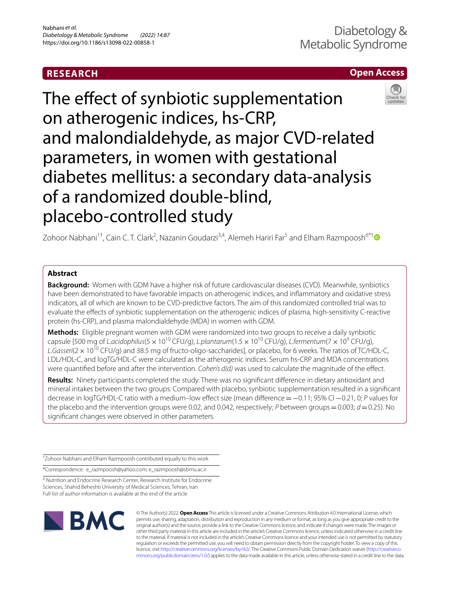## **RESEARCH**

# **Open Access**



The effect of synbiotic supplementation on atherogenic indices, hs-CRP, and malondialdehyde, as major CVD-related parameters, in women with gestational diabetes mellitus: a secondary data-analysis of a randomized double-blind, placebo-controlled study

Zohoor Nabhani<sup>1†</sup>, Cain C. T. Clark<sup>2</sup>, Nazanin Goudarzi<sup>3,4</sup>, Alemeh Hariri Far<sup>5</sup> and Elham Razmpoosh<sup>6\*†</sup> ©

## **Abstract**

**Background:** Women with GDM have a higher risk of future cardiovascular diseases (CVD). Meanwhile, synbiotics have been demonstrated to have favorable impacts on atherogenic indices, and infammatory and oxidative stress indicators, all of which are known to be CVD-predictive factors. The aim of this randomized controlled trial was to evaluate the efects of synbiotic supplementation on the atherogenic indices of plasma, high-sensitivity C-reactive protein (hs-CRP), and plasma malondialdehyde (MDA) in women with GDM.

**Methods:** Eligible pregnant women with GDM were randomized into two groups to receive a daily synbiotic capsule [500 mg of *L.acidophilus*(5× 1010 CFU/g), *L.plantarum*(1.5× 1010 CFU/g), *L.fermentum*(7× 109 CFU/g), *L.Gasseri*(2× 1010 CFU/g) and 38.5 mg of fructo-oligo-saccharides], or placebo, for 6 weeks. The ratios of TC/HDL-C, LDL/HDL-C, and logTG/HDL-C were calculated as the atherogenic indices. Serum hs-CRP and MDA concentrations were quantifed before and after the intervention. *Cohen's d(d)* was used to calculate the magnitude of the efect.

**Results:** Ninety participants completed the study. There was no signifcant diference in dietary antioxidant and mineral intakes between the two groups. Compared with placebo, synbiotic supplementation resulted in a signifcant decrease in logTG/HDL-C ratio with a medium–low efect size (mean diference=−0.11; 95% CI −0.21, 0; *P* values for the placebo and the intervention groups were 0.02, and 0.042, respectively; *P* between groups=0.003; *d*=0.25). No signifcant changes were observed in other parameters.

† Zohoor Nabhani and Elham Razmpoosh contributed equally to this work

\*Correspondence: e\_razmpoosh@yahoo.com; e\_razmpoosh@sbmu.ac.ir

<sup>6</sup> Nutrition and Endocrine Research Center, Research Institute for Endocrine Sciences, Shahid Beheshti University of Medical Sciences, Tehran, Iran Full list of author information is available at the end of the article



© The Author(s) 2022. **Open Access** This article is licensed under a Creative Commons Attribution 4.0 International License, which permits use, sharing, adaptation, distribution and reproduction in any medium or format, as long as you give appropriate credit to the original author(s) and the source, provide a link to the Creative Commons licence, and indicate if changes were made. The images or other third party material in this article are included in the article's Creative Commons licence, unless indicated otherwise in a credit line to the material. If material is not included in the article's Creative Commons licence and your intended use is not permitted by statutory regulation or exceeds the permitted use, you will need to obtain permission directly from the copyright holder. To view a copy of this licence, visit [http://creativecommons.org/licenses/by/4.0/.](http://creativecommons.org/licenses/by/4.0/) The Creative Commons Public Domain Dedication waiver ([http://creativeco](http://creativecommons.org/publicdomain/zero/1.0/) [mmons.org/publicdomain/zero/1.0/](http://creativecommons.org/publicdomain/zero/1.0/)) applies to the data made available in this article, unless otherwise stated in a credit line to the data.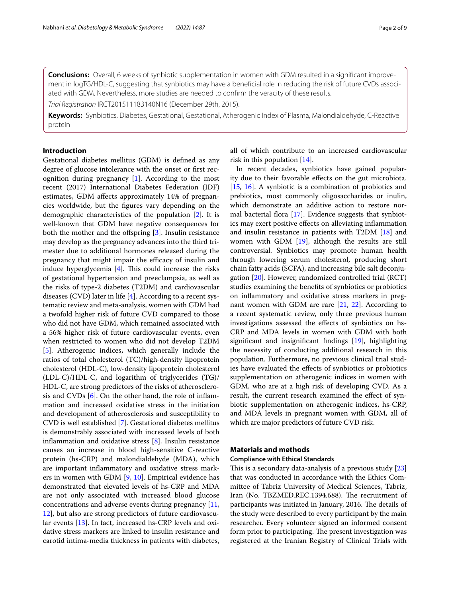**Conclusions:** Overall, 6 weeks of synbiotic supplementation in women with GDM resulted in a signifcant improvement in logTG/HDL-C, suggesting that synbiotics may have a benefcial role in reducing the risk of future CVDs associated with GDM. Nevertheless, more studies are needed to confrm the veracity of these results.

*Trial Registration* IRCT201511183140N16 (December 29th, 2015).

**Keywords:** Synbiotics, Diabetes, Gestational, Gestational, Atherogenic Index of Plasma, Malondialdehyde, C-Reactive protein

## **Introduction**

Gestational diabetes mellitus (GDM) is defned as any degree of glucose intolerance with the onset or frst recognition during pregnancy [[1\]](#page-7-0). According to the most recent (2017) International Diabetes Federation (IDF) estimates, GDM affects approximately 14% of pregnancies worldwide, but the fgures vary depending on the demographic characteristics of the population [\[2](#page-7-1)]. It is well-known that GDM have negative consequences for both the mother and the offspring  $[3]$  $[3]$ . Insulin resistance may develop as the pregnancy advances into the third trimester due to additional hormones released during the pregnancy that might impair the efficacy of insulin and induce hyperglycemia  $[4]$  $[4]$ . This could increase the risks of gestational hypertension and preeclampsia, as well as the risks of type-2 diabetes (T2DM) and cardiovascular diseases (CVD) later in life [\[4](#page-7-3)]. According to a recent systematic review and meta-analysis, women with GDM had a twofold higher risk of future CVD compared to those who did not have GDM, which remained associated with a 56% higher risk of future cardiovascular events, even when restricted to women who did not develop T2DM [[5\]](#page-7-4). Atherogenic indices, which generally include the ratios of total cholesterol (TC)/high-density lipoprotein cholesterol (HDL-C), low-density lipoprotein cholesterol (LDL-C)/HDL-C, and logarithm of triglycerides (TG)/ HDL-C, are strong predictors of the risks of atherosclerosis and CVDs  $[6]$  $[6]$ . On the other hand, the role of inflammation and increased oxidative stress in the initiation and development of atherosclerosis and susceptibility to CVD is well established [\[7](#page-7-6)]. Gestational diabetes mellitus is demonstrably associated with increased levels of both infammation and oxidative stress [\[8](#page-7-7)]. Insulin resistance causes an increase in blood high-sensitive C-reactive protein (hs-CRP) and malondialdehyde (MDA), which are important infammatory and oxidative stress markers in women with GDM [[9,](#page-7-8) [10\]](#page-7-9). Empirical evidence has demonstrated that elevated levels of hs-CRP and MDA are not only associated with increased blood glucose concentrations and adverse events during pregnancy [\[11](#page-7-10), [12\]](#page-7-11), but also are strong predictors of future cardiovascular events [\[13\]](#page-7-12). In fact, increased hs-CRP levels and oxidative stress markers are linked to insulin resistance and carotid intima-media thickness in patients with diabetes,

all of which contribute to an increased cardiovascular risk in this population [\[14\]](#page-7-13).

In recent decades, synbiotics have gained popularity due to their favorable efects on the gut microbiota. [[15,](#page-7-14) [16](#page-7-15)]. A synbiotic is a combination of probiotics and prebiotics, most commonly oligosaccharides or inulin, which demonstrate an additive action to restore normal bacterial fora [\[17](#page-7-16)]. Evidence suggests that synbiotics may exert positive efects on alleviating infammation and insulin resistance in patients with T2DM [\[18](#page-7-17)] and women with GDM [[19\]](#page-7-18), although the results are still controversial. Synbiotics may promote human health through lowering serum cholesterol, producing short chain fatty acids (SCFA), and increasing bile salt deconjugation [\[20](#page-7-19)]. However, randomized controlled trial (RCT) studies examining the benefts of synbiotics or probiotics on infammatory and oxidative stress markers in pregnant women with GDM are rare [\[21](#page-7-20), [22](#page-8-0)]. According to a recent systematic review, only three previous human investigations assessed the efects of synbiotics on hs-CRP and MDA levels in women with GDM with both signifcant and insignifcant fndings [[19\]](#page-7-18), highlighting the necessity of conducting additional research in this population. Furthermore, no previous clinical trial studies have evaluated the efects of synbiotics or probiotics supplementation on atherogenic indices in women with GDM, who are at a high risk of developing CVD. As a result, the current research examined the effect of synbiotic supplementation on atherogenic indices, hs-CRP, and MDA levels in pregnant women with GDM, all of which are major predictors of future CVD risk.

# **Materials and methods**

**Compliance with Ethical Standards**

This is a secondary data-analysis of a previous study  $[23]$  $[23]$  $[23]$ that was conducted in accordance with the Ethics Committee of Tabriz University of Medical Sciences, Tabriz, Iran (No. TBZMED.REC.1394.688). The recruitment of participants was initiated in January, 2016. The details of the study were described to every participant by the main researcher. Every volunteer signed an informed consent form prior to participating. The present investigation was registered at the Iranian Registry of Clinical Trials with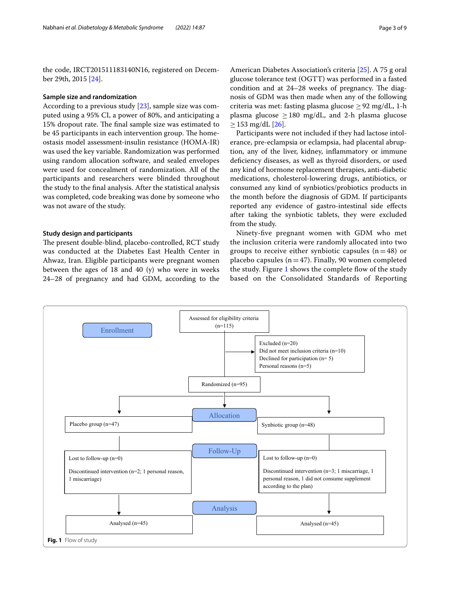the code, IRCT201511183140N16, registered on December 29th, 2015 [[24](#page-8-2)].

#### **Sample size and randomization**

According to a previous study [[23\]](#page-8-1), sample size was computed using a 95% CI, a power of 80%, and anticipating a 15% dropout rate. The final sample size was estimated to be 45 participants in each intervention group. The homeostasis model assessment-insulin resistance (HOMA-IR) was used the key variable. Randomization was performed using random allocation software, and sealed envelopes were used for concealment of randomization. All of the participants and researchers were blinded throughout the study to the fnal analysis. After the statistical analysis was completed, code breaking was done by someone who was not aware of the study.

#### **Study design and participants**

The present double-blind, placebo-controlled, RCT study was conducted at the Diabetes East Health Center in Ahwaz, Iran. Eligible participants were pregnant women between the ages of 18 and 40 (y) who were in weeks 24–28 of pregnancy and had GDM, according to the American Diabetes Association's criteria [\[25](#page-8-3)]. A 75 g oral glucose tolerance test (OGTT) was performed in a fasted condition and at  $24-28$  weeks of pregnancy. The diagnosis of GDM was then made when any of the following criteria was met: fasting plasma glucose  $\geq$  92 mg/dL, 1-h plasma glucose  $\geq$ 180 mg/dL, and 2-h plasma glucose  $>$  153 mg/dL [\[26](#page-8-4)].

Participants were not included if they had lactose intolerance, pre-eclampsia or eclampsia, had placental abruption, any of the liver, kidney, infammatory or immune defciency diseases, as well as thyroid disorders, or used any kind of hormone replacement therapies, anti-diabetic medications, cholesterol-lowering drugs, antibiotics, or consumed any kind of synbiotics/probiotics products in the month before the diagnosis of GDM. If participants reported any evidence of gastro-intestinal side efects after taking the synbiotic tablets, they were excluded from the study.

Ninety-fve pregnant women with GDM who met the inclusion criteria were randomly allocated into two groups to receive either synbiotic capsules  $(n=48)$  or placebo capsules ( $n=47$ ). Finally, 90 women completed the study. Figure [1](#page-2-0) shows the complete flow of the study based on the Consolidated Standards of Reporting

<span id="page-2-0"></span>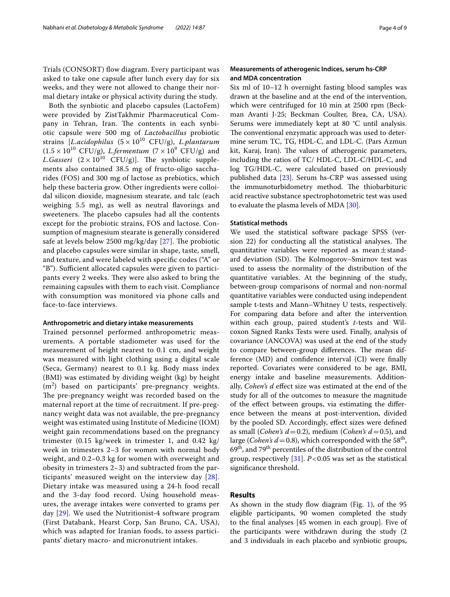Trials (CONSORT) flow diagram. Every participant was asked to take one capsule after lunch every day for six weeks, and they were not allowed to change their normal dietary intake or physical activity during the study.

Both the synbiotic and placebo capsules (LactoFem) were provided by ZistTakhmir Pharmaceutical Company in Tehran, Iran. The contents in each synbiotic capsule were 500 mg of *Lactobacillus* probiotic strains [*L.acidophilus*  $(5 \times 10^{10} \text{ CFU/g})$ , *L.plantarum*  $(1.5 \times 10^{10} \text{ CFU/g})$ , *L.fermentum*  $(7 \times 10^{9} \text{ CFU/g})$  and *L.Gasseri*  $(2 \times 10^{10} \text{ CFU/g})$ ]. The synbiotic supplements also contained 38.5 mg of fructo-oligo saccharides (FOS) and 300 mg of lactose as prebiotics, which help these bacteria grow. Other ingredients were colloidal silicon dioxide, magnesium stearate, and talc (each weighing 5.5 mg), as well as neutral favorings and sweeteners. The placebo capsules had all the contents except for the probiotic strains, FOS and lactose. Consumption of magnesium stearate is generally considered safe at levels below 2500 mg/kg/day  $[27]$  $[27]$  $[27]$ . The probiotic and placebo capsules were similar in shape, taste, smell, and texture, and were labeled with specifc codes ("A" or "B"). Sufficient allocated capsules were given to participants every 2 weeks. They were also asked to bring the remaining capsules with them to each visit. Compliance with consumption was monitored via phone calls and face-to-face interviews.

#### **Anthropometric and dietary intake measurements**

Trained personnel performed anthropometric measurements. A portable stadiometer was used for the measurement of height nearest to 0.1 cm, and weight was measured with light clothing using a digital scale (Seca, Germany) nearest to 0.1 kg. Body mass index (BMI) was estimated by dividing weight (kg) by height  $(m<sup>2</sup>)$  based on participants' pre-pregnancy weights. The pre-pregnancy weight was recorded based on the maternal report at the time of recruitment. If pre-pregnancy weight data was not available, the pre-pregnancy weight was estimated using Institute of Medicine (IOM) weight gain recommendations based on the pregnancy trimester (0.15 kg/week in trimester 1, and 0.42 kg/ week in trimesters 2–3 for women with normal body weight, and 0.2–0.3 kg for women with overweight and obesity in trimesters 2–3) and subtracted from the participants' measured weight on the interview day [[28\]](#page-8-6). Dietary intake was measured using a 24-h food recall and the 3-day food record. Using household measures, the average intakes were converted to grams per day [[29\]](#page-8-7). We used the Nutritionist-4 software program (First Databank, Hearst Corp, San Bruno, CA, USA), which was adapted for Iranian foods, to assess participants' dietary macro- and micronutrient intakes.

## **Measurements of atherogenic Indices, serum hs‑CRP and MDA concentration**

Six ml of 10–12 h overnight fasting blood samples was drawn at the baseline and at the end of the intervention, which were centrifuged for 10 min at 2500 rpm (Beckman Avanti J-25; Beckman Coulter, Brea, CA, USA). Serums were immediately kept at 80 °C until analysis. The conventional enzymatic approach was used to determine serum TC, TG, HDL-C, and LDL-C. (Pars Azmun kit, Karaj, Iran). The values of atherogenic parameters, including the ratios of TC/ HDL-C, LDL-C/HDL-C, and log TG/HDL-C, were calculated based on previously published data [\[23](#page-8-1)]. Serum hs-CRP was assessed using the immunoturbidometry method. The thiobarbituric acid reactive substance spectrophotometric test was used to evaluate the plasma levels of MDA [[30\]](#page-8-8).

#### **Statistical methods**

We used the statistical software package SPSS (version 22) for conducting all the statistical analyses. The quantitative variables were reported as mean $\pm$ standard deviation (SD). The Kolmogorov–Smirnov test was used to assess the normality of the distribution of the quantitative variables. At the beginning of the study, between-group comparisons of normal and non-normal quantitative variables were conducted using independent sample t-tests and Mann–Whitney U tests, respectively. For comparing data before and after the intervention within each group, paired student's *t*-tests and Wilcoxon Signed Ranks Tests were used. Finally, analysis of covariance (ANCOVA) was used at the end of the study to compare between-group differences. The mean difference (MD) and confdence interval (CI) were fnally reported. Covariates were considered to be age, BMI, energy intake and baseline measurements. Additionally, *Cohen's d* effect size was estimated at the end of the study for all of the outcomes to measure the magnitude of the efect between groups, via estimating the diference between the means at post-intervention, divided by the pooled SD. Accordingly, efect sizes were defned as small (*Cohen's d*=0.2), medium (*Cohen's d*=0.5), and large (*Cohen's d* = 0.8), which corresponded with the 58<sup>th</sup>,  $69<sup>th</sup>$ , and  $79<sup>th</sup>$  percentiles of the distribution of the control group, respectively [[31](#page-8-9)]. *P*<0.05 was set as the statistical signifcance threshold.

#### **Results**

As shown in the study flow diagram (Fig. [1\)](#page-2-0), of the  $95$ eligible participants, 90 women completed the study to the fnal analyses [45 women in each group]. Five of the participants were withdrawn during the study (2 and 3 individuals in each placebo and synbiotic groups,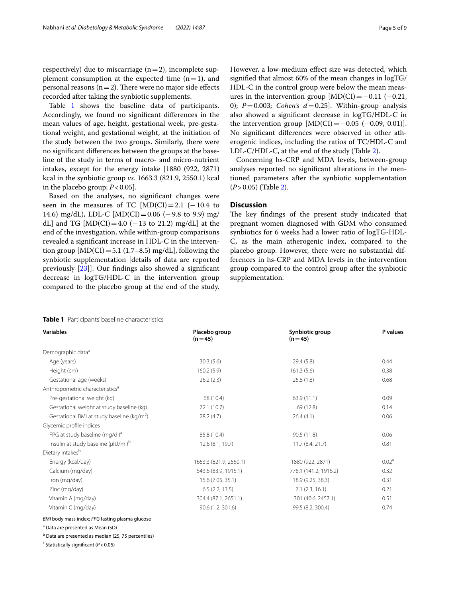respectively) due to miscarriage  $(n=2)$ , incomplete supplement consumption at the expected time  $(n=1)$ , and personal reasons ( $n=2$ ). There were no major side effects recorded after taking the synbiotic supplements.

Table [1](#page-4-0) shows the baseline data of participants. Accordingly, we found no signifcant diferences in the mean values of age, height, gestational week, pre-gestational weight, and gestational weight, at the initiation of the study between the two groups. Similarly, there were no signifcant diferences between the groups at the baseline of the study in terms of macro- and micro-nutrient intakes, except for the energy intake [1880 (922, 2871) kcal in the synbiotic group *vs.* 1663.3 (821.9, 2550.1) kcal in the placebo group;  $P < 0.05$ ].

Based on the analyses, no signifcant changes were seen in the measures of TC  $[MD(CI)] = 2.1$  (-10.4 to 14.6) mg/dL), LDL-C [MD(CI) =  $0.06$  ( $-9.8$  to 9.9) mg/ dL] and TG  $[MD(CI) = 4.0$  (-13 to 21.2) mg/dL] at the end of the investigation, while within-group comparisons revealed a signifcant increase in HDL-C in the intervention group  $[MD(Cl) = 5.1 (1.7–8.5) mg/dL]$ , following the synbiotic supplementation [details of data are reported previously [[23\]](#page-8-1)]. Our fndings also showed a signifcant decrease in logTG/HDL-C in the intervention group compared to the placebo group at the end of the study. However, a low-medium efect size was detected, which signifed that almost 60% of the mean changes in logTG/ HDL-C in the control group were below the mean measures in the intervention group  $[MD(C)] = -0.11$  (-0.21, 0); *P*=0.003; *Cohen's d*=0.25]. Within-group analysis also showed a signifcant decrease in logTG/HDL-C in the intervention group  $[MD(Cl)=-0.05 (-0.09, 0.01)].$ No signifcant diferences were observed in other atherogenic indices, including the ratios of TC/HDL-C and LDL-C/HDL-C, at the end of the study (Table [2](#page-5-0)).

Concerning hs-CRP and MDA levels, between-group analyses reported no signifcant alterations in the mentioned parameters after the synbiotic supplementation (*P*>0.05) (Table [2\)](#page-5-0).

### **Discussion**

The key findings of the present study indicated that pregnant women diagnosed with GDM who consumed synbiotics for 6 weeks had a lower ratio of logTG-HDL-C, as the main atherogenic index, compared to the placebo group. However, there were no substantial differences in hs-CRP and MDA levels in the intervention group compared to the control group after the synbiotic supplementation.

<span id="page-4-0"></span>**Table 1** Participants' baseline characteristics

| <b>Variables</b>                                       | Placebo group<br>$(n=45)$ | Synbiotic group<br>$(n=45)$ | P values          |  |
|--------------------------------------------------------|---------------------------|-----------------------------|-------------------|--|
| Demographic data <sup>a</sup>                          |                           |                             |                   |  |
| Age (years)                                            | 30.3(5.6)                 | 29.4(5.8)                   | 0.44              |  |
| Height (cm)                                            | 160.2(5.9)                | 161.3(5.6)                  | 0.38              |  |
| Gestational age (weeks)                                | 26.2(2.3)                 | 25.8(1.8)                   | 0.68              |  |
| Anthropometric characteristics <sup>a</sup>            |                           |                             |                   |  |
| Pre-gestational weight (kg)                            | 68 (10.4)                 | 63.9(11.1)                  | 0.09              |  |
| Gestational weight at study baseline (kg)              | 72.1 (10.7)               | 69 (12.8)                   | 0.14              |  |
| Gestational BMI at study baseline (kg/m <sup>2</sup> ) | 28.2(4.7)                 | 26.4(4.1)                   | 0.06              |  |
| Glycemic profile indices                               |                           |                             |                   |  |
| FPG at study baseline (mg/dl) <sup>a</sup>             | 85.8 (10.4)               | 90.5 (11.8)                 | 0.06              |  |
| Insulin at study baseline (µIU/mI) <sup>b</sup>        | 12.6(8.1, 19.7)           | 11.7(8.4, 21.7)             | 0.81              |  |
| Dietary intakes <sup>b</sup>                           |                           |                             |                   |  |
| Energy (kcal/day)                                      | 1663.3 (821.9, 2550.1)    | 1880 (922, 2871)            | 0.02 <sup>a</sup> |  |
| Calcium (mg/day)                                       | 543.6 (83.9, 1915.1)      | 778.1 (141.2, 1916.2)       | 0.32              |  |
| Iron (mg/day)                                          | 15.6 (7.05, 35.1)         | 18.9 (9.25, 38.3)           | 0.31              |  |
| Zinc (mg/day)                                          | 6.5(2.2, 13.5)            | $7.1$ (2.3, 16.1)           | 0.21              |  |
| Vitamin A (mg/day)                                     | 304.4 (87.1, 2651.1)      | 301 (40.6, 2457.1)          | 0.51              |  |
| Vitamin C (mg/day)                                     | 90.6 (1.2, 301.6)         |                             | 0.74              |  |

*BMI* body mass index; *FPG* fasting plasma glucose

<sup>a</sup> Data are presented as Mean (SD)

<sup>b</sup> Data are presented as median (25, 75 percentiles)

c Statistically signifcant (*P*<0.05)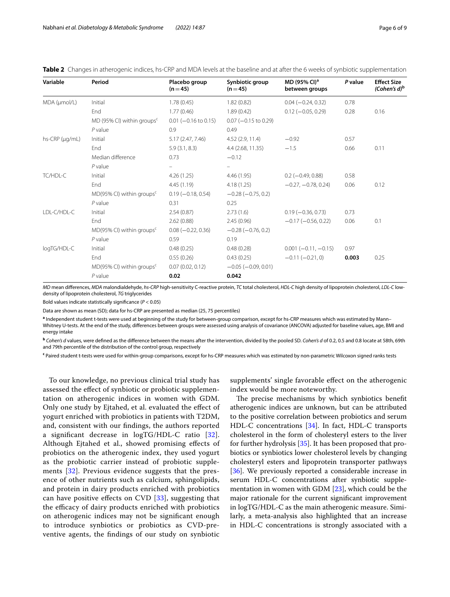<span id="page-5-0"></span>**Table 2** Changes in atherogenic indices, hs-CRP and MDA levels at the baseline and at after the 6 weeks of synbiotic supplementation

| Variable                | Period                                   | Placebo group<br>$(n=45)$ | Synbiotic group<br>$(n=45)$ | MD (95% CI) <sup>a</sup><br>between groups | P value | <b>Effect Size</b><br>(Cohen's $d$ ) <sup>b</sup> |
|-------------------------|------------------------------------------|---------------------------|-----------------------------|--------------------------------------------|---------|---------------------------------------------------|
| MDA (µmol/L)            | Initial                                  | 1.78(0.45)                | 1.82(0.82)                  | $0.04 (-0.24, 0.32)$                       | 0.78    |                                                   |
|                         | End                                      | 1.77(0.46)                | 1.89(0.42)                  | $0.12 (-0.05, 0.29)$                       | 0.28    | 0.16                                              |
|                         | MD (95% CI) within groups <sup>c</sup>   | $0.01$ (-0.16 to 0.15)    | $0.07$ (-0.15 to 0.29)      |                                            |         |                                                   |
|                         | $P$ value                                | 0.9                       | 0.49                        |                                            |         |                                                   |
| $hs-CRP$ ( $\mu q/mL$ ) | Initial                                  | 5.17 (2.47, 7.46)         | 4.52(2.9, 11.4)             | $-0.92$                                    | 0.57    |                                                   |
|                         | End                                      | 5.9(3.1, 8.3)             | 4.4 (2.68, 11.35)           | $-1.5$                                     | 0.66    | 0.11                                              |
|                         | Median difference                        | 0.73                      | $-0.12$                     |                                            |         |                                                   |
|                         | $P$ value                                |                           |                             |                                            |         |                                                   |
| TC/HDL-C                | Initial                                  | 4.26(1.25)                | 4.46(1.95)                  | $0.2 (-0.49, 0.88)$                        | 0.58    |                                                   |
|                         | End                                      | 4.45(1.19)                | 4.18(1.25)                  | $-0.27. -0.78. 0.24$                       | 0.06    | 0.12                                              |
|                         | $MD(95\%$ CI) within groups <sup>c</sup> | $0.19 (-0.18, 0.54)$      | $-0.28 (-0.75, 0.2)$        |                                            |         |                                                   |
|                         | $P$ value                                | 0.31                      | 0.25                        |                                            |         |                                                   |
| LDL-C/HDL-C             | Initial                                  | 2.54(0.87)                | 2.73(1.6)                   | $0.19 (-0.36, 0.73)$                       | 0.73    |                                                   |
|                         | End                                      | 2.62(0.88)                | 2.45(0.96)                  | $-0.17(-0.56, 0.22)$                       | 0.06    | 0.1                                               |
|                         | MD(95% CI) within groups <sup>c</sup>    | $0.08 (-0.22, 0.36)$      | $-0.28(-0.76, 0.2)$         |                                            |         |                                                   |
|                         | $P$ value                                | 0.59                      | 0.19                        |                                            |         |                                                   |
| logTG/HDL-C             | Initial                                  | 0.48(0.25)                | 0.48(0.28)                  | $0.001 (-0.11, -0.15)$                     | 0.97    |                                                   |
|                         | End                                      | 0.55(0.26)                | 0.43(0.25)                  | $-0.11(-0.21, 0)$                          | 0.003   | 0.25                                              |
|                         | $MD(95\%$ CI) within groups <sup>c</sup> | 0.07(0.02, 0.12)          | $-0.05$ ( $-0.09$ , 0.01)   |                                            |         |                                                   |
|                         | $P$ value                                | 0.02                      | 0.042                       |                                            |         |                                                   |

*MD* mean diferences, *MDA* malondialdehyde, *hs-CRP* high-sensitivity C-reactive protein, *TC* total cholesterol, *HDL-C* high density of lipoprotein cholesterol, *LDL-C* lowdensity of lipoprotein cholesterol, *TG* triglycerides

Bold values indicate statistically signifcance (*P* < 0.05)

Data are shown as mean (SD); data for hs-CRP are presented as median (25, 75 percentiles)

**a** Independent student t-tests were used at beginning of the study for between-group comparison, except for hs-CRP measures which was estimated by Mann–

Whitney U-tests. At the end of the study, diferences between groups were assessed using analysis of covariance (ANCOVA) adjusted for baseline values, age, BMI and energy intake

**<sup>b</sup>** *Cohen's d* values, were defned as the diference between the means after the intervention, divided by the pooled SD. *Cohen's d* of 0.2, 0.5 and 0.8 locate at 58th, 69th and 79th percentile of the distribution of the control group, respectively

**c** Paired student t-tests were used for within-group comparisons, except for hs-CRP measures which was estimated by non-parametric Wilcoxon signed ranks tests

To our knowledge, no previous clinical trial study has assessed the efect of synbiotic or probiotic supplementation on atherogenic indices in women with GDM. Only one study by Ejtahed, et al. evaluated the efect of yogurt enriched with probiotics in patients with T2DM, and, consistent with our fndings, the authors reported a signifcant decrease in logTG/HDL-C ratio [[32\]](#page-8-10). Although Ejtahed et al., showed promising efects of probiotics on the atherogenic index, they used yogurt as the probiotic carrier instead of probiotic supplements [[32](#page-8-10)]. Previous evidence suggests that the presence of other nutrients such as calcium, sphingolipids, and protein in dairy products enriched with probiotics can have positive efects on CVD [[33](#page-8-11)], suggesting that the efficacy of dairy products enriched with probiotics on atherogenic indices may not be signifcant enough to introduce synbiotics or probiotics as CVD-preventive agents, the fndings of our study on synbiotic supplements' single favorable efect on the atherogenic index would be more noteworthy.

The precise mechanisms by which synbiotics benefit atherogenic indices are unknown, but can be attributed to the positive correlation between probiotics and serum HDL-C concentrations [[34](#page-8-12)]. In fact, HDL-C transports cholesterol in the form of cholesteryl esters to the liver for further hydrolysis [\[35\]](#page-8-13). It has been proposed that probiotics or synbiotics lower cholesterol levels by changing cholesteryl esters and lipoprotein transporter pathways [[36\]](#page-8-14). We previously reported a considerable increase in serum HDL-C concentrations after synbiotic supplementation in women with GDM [[23\]](#page-8-1), which could be the major rationale for the current signifcant improvement in logTG/HDL-C as the main atherogenic measure. Similarly, a meta-analysis also highlighted that an increase in HDL-C concentrations is strongly associated with a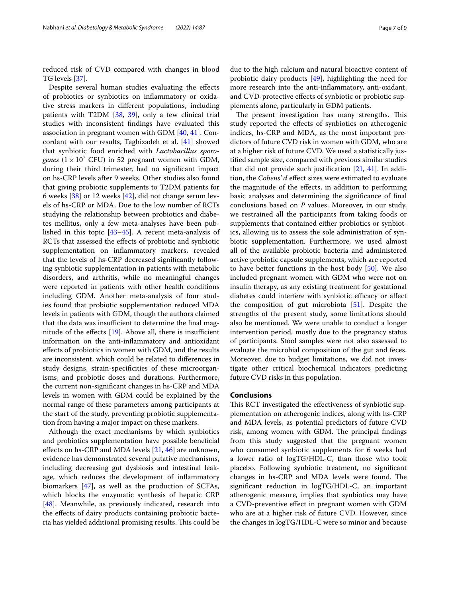reduced risk of CVD compared with changes in blood TG levels [[37](#page-8-15)].

Despite several human studies evaluating the efects of probiotics or synbiotics on infammatory or oxidative stress markers in diferent populations, including patients with T2DM [[38](#page-8-16), [39](#page-8-17)], only a few clinical trial studies with inconsistent fndings have evaluated this association in pregnant women with GDM [\[40](#page-8-18), [41\]](#page-8-19). Concordant with our results, Taghizadeh et al. [[41\]](#page-8-19) showed that synbiotic food enriched with *Lactobacillus sporogenes*  $(1 \times 10^7 \text{ CFU})$  in 52 pregnant women with GDM, during their third trimester, had no signifcant impact on hs-CRP levels after 9 weeks. Other studies also found that giving probiotic supplements to T2DM patients for 6 weeks [[38\]](#page-8-16) or 12 weeks [\[42\]](#page-8-20), did not change serum levels of hs-CRP or MDA. Due to the low number of RCTs studying the relationship between probiotics and diabetes mellitus, only a few meta-analyses have been published in this topic [\[43](#page-8-21)[–45](#page-8-22)]. A recent meta-analysis of RCTs that assessed the efects of probiotic and synbiotic supplementation on infammatory markers, revealed that the levels of hs-CRP decreased signifcantly following synbiotic supplementation in patients with metabolic disorders, and arthritis, while no meaningful changes were reported in patients with other health conditions including GDM. Another meta-analysis of four studies found that probiotic supplementation reduced MDA levels in patients with GDM, though the authors claimed that the data was insufficient to determine the final magnitude of the effects  $[19]$ . Above all, there is insufficient information on the anti-infammatory and antioxidant efects of probiotics in women with GDM, and the results are inconsistent, which could be related to diferences in study designs, strain-specifcities of these microorganisms, and probiotic doses and durations. Furthermore, the current non-signifcant changes in hs-CRP and MDA levels in women with GDM could be explained by the normal range of these parameters among participants at the start of the study, preventing probiotic supplementation from having a major impact on these markers.

Although the exact mechanisms by which synbiotics and probiotics supplementation have possible benefcial efects on hs-CRP and MDA levels [\[21](#page-7-20), [46\]](#page-8-23) are unknown, evidence has demonstrated several putative mechanisms, including decreasing gut dysbiosis and intestinal leakage, which reduces the development of infammatory biomarkers [[47\]](#page-8-24), as well as the production of SCFAs, which blocks the enzymatic synthesis of hepatic CRP [[48\]](#page-8-25). Meanwhile, as previously indicated, research into the efects of dairy products containing probiotic bacteria has yielded additional promising results. This could be due to the high calcium and natural bioactive content of probiotic dairy products [\[49\]](#page-8-26), highlighting the need for more research into the anti-infammatory, anti-oxidant, and CVD-protective efects of synbiotic or probiotic supplements alone, particularly in GDM patients.

The present investigation has many strengths. This study reported the efects of synbiotics on atherogenic indices, hs-CRP and MDA, as the most important predictors of future CVD risk in women with GDM, who are at a higher risk of future CVD. We used a statistically justifed sample size, compared with previous similar studies that did not provide such justification  $[21, 41]$  $[21, 41]$  $[21, 41]$  $[21, 41]$  $[21, 41]$ . In addition, the *Cohens' d* effect sizes were estimated to evaluate the magnitude of the efects, in addition to performing basic analyses and determining the signifcance of fnal conclusions based on *P* values. Moreover, in our study, we restrained all the participants from taking foods or supplements that contained either probiotics or synbiotics, allowing us to assess the sole administration of synbiotic supplementation. Furthermore, we used almost all of the available probiotic bacteria and administered active probiotic capsule supplements, which are reported to have better functions in the host body [\[50](#page-8-27)]. We also included pregnant women with GDM who were not on insulin therapy, as any existing treatment for gestational diabetes could interfere with synbiotic efficacy or affect the composition of gut microbiota [\[51](#page-8-28)]. Despite the strengths of the present study, some limitations should also be mentioned. We were unable to conduct a longer intervention period, mostly due to the pregnancy status of participants. Stool samples were not also assessed to evaluate the microbial composition of the gut and feces. Moreover, due to budget limitations, we did not investigate other critical biochemical indicators predicting future CVD risks in this population.

#### **Conclusions**

This RCT investigated the effectiveness of synbiotic supplementation on atherogenic indices, along with hs-CRP and MDA levels, as potential predictors of future CVD risk, among women with GDM. The principal findings from this study suggested that the pregnant women who consumed synbiotic supplements for 6 weeks had a lower ratio of logTG/HDL-C, than those who took placebo. Following synbiotic treatment, no signifcant changes in hs-CRP and MDA levels were found. The signifcant reduction in logTG/HDL-C, an important atherogenic measure, implies that synbiotics may have a CVD-preventive efect in pregnant women with GDM who are at a higher risk of future CVD. However, since the changes in logTG/HDL-C were so minor and because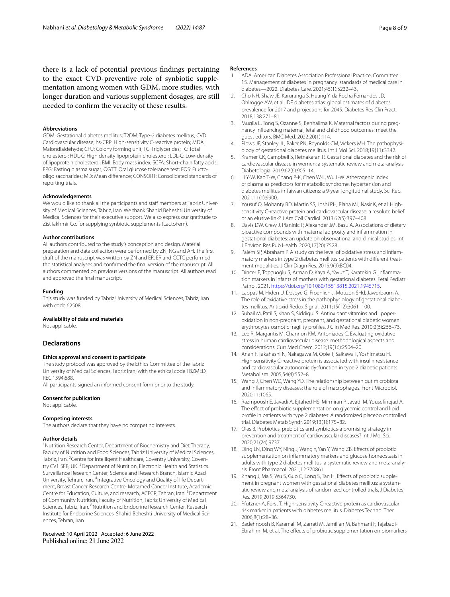there is a lack of potential previous fndings pertaining to the exact CVD-preventive role of synbiotic supplementation among women with GDM, more studies, with longer duration and various supplement dosages, are still needed to confrm the veracity of these results.

#### **Abbreviations**

GDM: Gestational diabetes mellitus; T2DM: Type-2 diabetes mellitus; CVD: Cardiovascular disease; hs-CRP: High-sensitivity C-reactive protein; MDA: Malondialdehyde; CFU: Colony forming unit; TG: Triglycerides; TC: Total cholesterol; HDL-C: High density lipoprotein cholesterol; LDL-C: Low-density of lipoprotein cholesterol; BMI: Body mass index; SCFA: Short-chain fatty acids; FPG: Fasting plasma sugar; OGTT: Oral glucose tolerance test; FOS: Fructooligo saccharides; MD: Mean diference; CONSORT: Consolidated standards of reporting trials.

#### **Acknowledgements**

We would like to thank all the participants and staff members at Tabriz University of Medical Sciences, Tabriz, Iran. We thank Shahid Beheshti University of Medical Sciences for their executive support. We also express our gratitude to ZistTakhmir Co. for supplying synbiotic supplements (LactoFem).

#### **Author contributions**

All authors contributed to the study's conception and design. Material preparation and data collection were performed by ZN, NG and AH. The frst draft of the manuscript was written by ZN and ER. ER and CCTC performed the statistical analyses and confrmed the fnal version of the manuscript. All authors commented on previous versions of the manuscript. All authors read and approved the fnal manuscript.

#### **Funding**

This study was funded by Tabriz University of Medical Sciences, Tabriz, Iran with code 62508.

#### **Availability of data and materials**

Not applicable.

#### **Declarations**

#### **Ethics approval and consent to participate**

The study protocol was approved by the Ethics Committee of the Tabriz University of Medical Sciences, Tabriz Iran; with the ethical code TBZMED. REC.1394.688.

All participants signed an informed consent form prior to the study.

#### **Consent for publication**

Not applicable.

#### **Competing interests**

The authors declare that they have no competing interests.

#### **Author details**

<sup>1</sup> Nutrition Research Center, Department of Biochemistry and Diet Therapy, Faculty of Nutrition and Food Sciences, Tabriz University of Medical Sciences, Tabriz, Iran. <sup>2</sup> Centre for Intelligent Healthcare, Coventry University, Coventry CV1 5FB, UK.<sup>3</sup> Department of Nutrition, Electronic Health and Statistics Surveillance Research Center, Science and Research Branch, Islamic Azad University, Tehran, Iran. <sup>4</sup>Integrative Oncology and Quality of life Department, Breast Cancer Research Centre, Motamed Cancer Institute, Academic Centre for Education, Culture, and research, ACECR, Tehran, Iran. <sup>5</sup>Department of Community Nutrition, Faculty of Nutrition, Tabriz University of Medical Sciences, Tabriz, Iran. <sup>6</sup>Nutrition and Endocrine Research Center, Research Institute for Endocrine Sciences, Shahid Beheshti University of Medical Sciences, Tehran, Iran.

#### Received: 10 April 2022 Accepted: 6 June 2022 Published online: 21 June 2022

#### **References**

- <span id="page-7-0"></span>1. ADA. American Diabetes Association Professional Practice, Committee: 15. Management of diabetes in pregnancy: standards of medical care in diabetes—2022. Diabetes Care. 2021;45(1):S232–43.
- <span id="page-7-1"></span>2. Cho NH, Shaw JE, Karuranga S, Huang Y, da Rocha Fernandes JD, Ohlrogge AW, et al. IDF diabetes atlas: global estimates of diabetes prevalence for 2017 and projections for 2045. Diabetes Res Clin Pract. 2018;138:271–81.
- <span id="page-7-2"></span>3. Muglia L, Tong S, Ozanne S, Benhalima K. Maternal factors during pregnancy infuencing maternal, fetal and childhood outcomes: meet the guest editors. BMC Med. 2022;20(1):114.
- <span id="page-7-3"></span>4. Plows JF, Stanley JL, Baker PN, Reynolds CM, Vickers MH. The pathophysiology of gestational diabetes mellitus. Int J Mol Sci. 2018;19(11):3342.
- <span id="page-7-4"></span>5. Kramer CK, Campbell S, Retnakaran R. Gestational diabetes and the risk of cardiovascular disease in women: a systematic review and meta-analysis. Diabetologia. 2019;62(6):905–14.
- <span id="page-7-5"></span>6. Li Y-W, Kao T-W, Chang P-K, Chen W-L, Wu L-W. Atherogenic index of plasma as predictors for metabolic syndrome, hypertension and diabetes mellitus in Taiwan citizens: a 9-year longitudinal study. Sci Rep. 2021;11(1):9900.
- <span id="page-7-6"></span>7. Yousuf O, Mohanty BD, Martin SS, Joshi PH, Blaha MJ, Nasir K, et al. Highsensitivity C-reactive protein and cardiovascular disease: a resolute belief or an elusive link? J Am Coll Cardiol. 2013;62(5):397–408.
- <span id="page-7-7"></span>8. Davis DW, Crew J, Planinic P, Alexander JM, Basu A. Associations of dietary bioactive compounds with maternal adiposity and infammation in gestational diabetes: an update on observational and clinical studies. Int J Environ Res Pub Health. 2020;17(20):7528.
- <span id="page-7-8"></span>9. Palem SP, Abraham P. A study on the level of oxidative stress and infammatory markers in type 2 diabetes mellitus patients with diferent treatment modalities. J Clin Diagn Res. 2015;9(9):BC04.
- <span id="page-7-9"></span>10. Dincer E, Topçuoğlu S, Arman D, Kaya A, Yavuz T, Karatekin G. Infammation markers in infants of mothers with gestational diabetes. Fetal Pediatr Pathol. 2021.<https://doi.org/10.1080/15513815.2021.1945715>.
- <span id="page-7-10"></span>11. Lappas M, Hiden U, Desoye G, Froehlich J, Mouzon SHd, Jawerbaum A. The role of oxidative stress in the pathophysiology of gestational diabetes mellitus. Antioxid Redox Signal. 2011;15(12):3061–100.
- <span id="page-7-11"></span>12. Suhail M, Patil S, Khan S, Siddiqui S. Antioxidant vitamins and lipoperoxidation in non-pregnant, pregnant, and gestational diabetic women: erythrocytes osmotic fragility profles. J Clin Med Res. 2010;2(6):266–73.
- <span id="page-7-12"></span>13. Lee R, Margaritis M, Channon KM, Antoniades C. Evaluating oxidative stress in human cardiovascular disease: methodological aspects and considerations. Curr Med Chem. 2012;19(16):2504–20.
- <span id="page-7-13"></span>14. Anan F, Takahashi N, Nakagawa M, Ooie T, Saikawa T, Yoshimatsu H. High-sensitivity C-reactive protein is associated with insulin resistance and cardiovascular autonomic dysfunction in type 2 diabetic patients. Metabolism. 2005;54(4):552–8.
- <span id="page-7-14"></span>15. Wang J, Chen WD, Wang YD. The relationship between gut microbiota and infammatory diseases: the role of macrophages. Front Microbiol. 2020;11:1065.
- <span id="page-7-15"></span>16. Razmpoosh E, Javadi A, Ejtahed HS, Mirmiran P, Javadi M, Yousefnejad A. The effect of probiotic supplementation on glycemic control and lipid profle in patients with type 2 diabetes: A randomized placebo controlled trial. Diabetes Metab Syndr. 2019;13(1):175–82.
- <span id="page-7-16"></span>17. Olas B. Probiotics, prebiotics and synbiotics-a promising strategy in prevention and treatment of cardiovascular diseases? Int J Mol Sci. 2020;21(24):9737.
- <span id="page-7-17"></span>18. Ding LN, Ding WY, Ning J, Wang Y, Yan Y, Wang ZB. Efects of probiotic supplementation on infammatory markers and glucose homeostasis in adults with type 2 diabetes mellitus: a systematic review and meta-analysis. Front Pharmacol. 2021;12:770861.
- <span id="page-7-18"></span>19. Zhang J, Ma S, Wu S, Guo C, Long S, Tan H. Effects of probiotic supplement in pregnant women with gestational diabetes mellitus: a systematic review and meta-analysis of randomized controlled trials. J Diabetes Res. 2019;2019:5364730.
- <span id="page-7-19"></span>20. Pfützner A, Forst T. High-sensitivity C-reactive protein as cardiovascular risk marker in patients with diabetes mellitus. Diabetes Technol Ther. 2006;8(1):28–36.
- <span id="page-7-20"></span>21. Badehnoosh B, Karamali M, Zarrati M, Jamilian M, Bahmani F, Tajabadi-Ebrahimi M, et al. The effects of probiotic supplementation on biomarkers